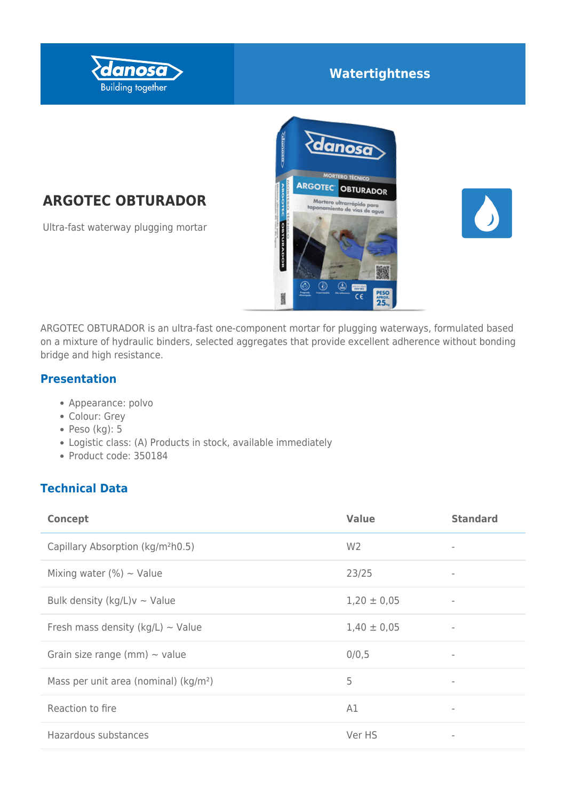

# **Watertightness**

# **ARGOTEC OBTURADOR**

Ultra-fast waterway plugging mortar





ARGOTEC OBTURADOR is an ultra-fast one-component mortar for plugging waterways, formulated based on a mixture of hydraulic binders, selected aggregates that provide excellent adherence without bonding bridge and high resistance.

#### **Presentation**

- Appearance: polvo
- Colour: Grey
- $\bullet$  Peso (kg): 5
- Logistic class: (A) Products in stock, available immediately
- Product code: 350184

## **Technical Data**

| <b>Concept</b>                                    | <b>Value</b>    | <b>Standard</b>          |
|---------------------------------------------------|-----------------|--------------------------|
| Capillary Absorption (kg/m <sup>2</sup> h0.5)     | W <sub>2</sub>  | $\qquad \qquad =$        |
| Mixing water (%) $\sim$ Value                     | 23/25           | -                        |
| Bulk density (kg/L) $v \sim$ Value                | $1,20 \pm 0,05$ | $\overline{\phantom{a}}$ |
| Fresh mass density ( $kg/L$ ) ~ Value             | $1,40 \pm 0,05$ |                          |
| Grain size range (mm) $\sim$ value                | 0/0,5           | $\overline{\phantom{a}}$ |
| Mass per unit area (nominal) (kg/m <sup>2</sup> ) | 5               | $\qquad \qquad =$        |
| Reaction to fire                                  | A1              | $\qquad \qquad =$        |
| Hazardous substances                              | Ver HS          |                          |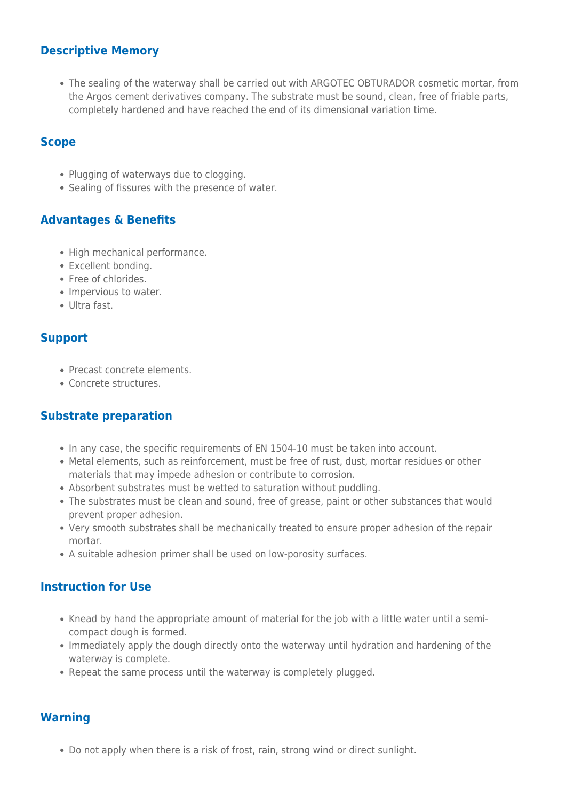#### **Descriptive Memory**

The sealing of the waterway shall be carried out with ARGOTEC OBTURADOR cosmetic mortar, from the Argos cement derivatives company. The substrate must be sound, clean, free of friable parts, completely hardened and have reached the end of its dimensional variation time.

#### **Scope**

- Plugging of waterways due to clogging.
- Sealing of fissures with the presence of water.

#### **Advantages & Benefits**

- High mechanical performance.
- Excellent bonding.
- Free of chlorides.
- Impervious to water.
- Ultra fast.

#### **Support**

- Precast concrete elements.
- Concrete structures.

#### **Substrate preparation**

- In any case, the specific requirements of EN 1504-10 must be taken into account.
- Metal elements, such as reinforcement, must be free of rust, dust, mortar residues or other materials that may impede adhesion or contribute to corrosion.
- Absorbent substrates must be wetted to saturation without puddling.
- The substrates must be clean and sound, free of grease, paint or other substances that would prevent proper adhesion.
- Very smooth substrates shall be mechanically treated to ensure proper adhesion of the repair mortar.
- A suitable adhesion primer shall be used on low-porosity surfaces.

#### **Instruction for Use**

- Knead by hand the appropriate amount of material for the job with a little water until a semicompact dough is formed.
- Immediately apply the dough directly onto the waterway until hydration and hardening of the waterway is complete.
- Repeat the same process until the waterway is completely plugged.

#### **Warning**

Do not apply when there is a risk of frost, rain, strong wind or direct sunlight.